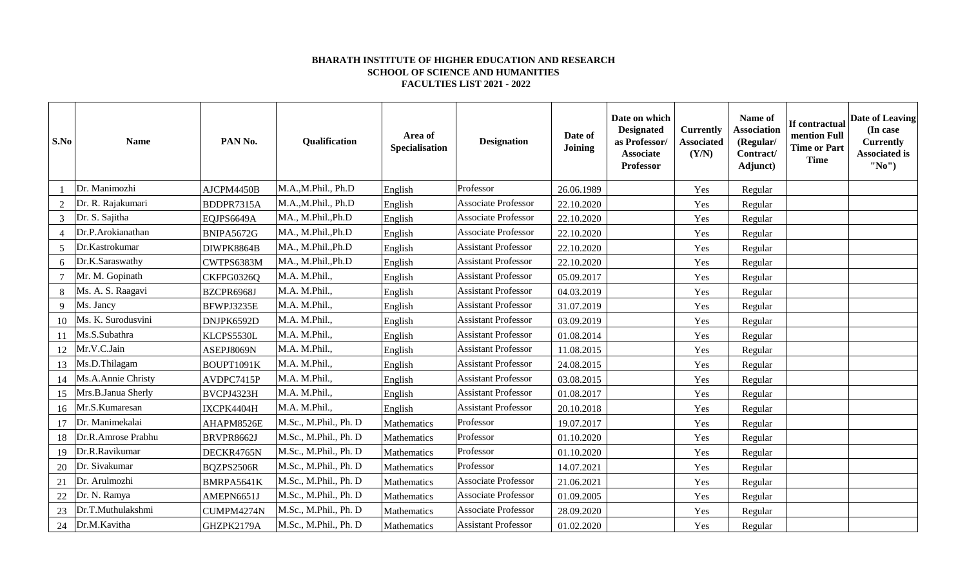## **BHARATH INSTITUTE OF HIGHER EDUCATION AND RESEARCH SCHOOL OF SCIENCE AND HUMANITIES FACULTIES LIST 2021 - 2022**

| S.No           | <b>Name</b>        | PAN No.    | Qualification         | Area of<br><b>Specialisation</b> | <b>Designation</b>         | Date of<br>Joining | Date on which<br><b>Designated</b><br>as Professor/<br><b>Associate</b><br>Professor | Currently<br><b>Associated</b><br>(Y/N) | Name of<br>Association<br>(Regular/<br>Contract/<br>Adjunct) | If contractual<br>mention Full<br><b>Time or Part</b><br><b>Time</b> | Date of Leaving<br>(In case<br><b>Currently</b><br><b>Associated is</b><br>"No") |
|----------------|--------------------|------------|-----------------------|----------------------------------|----------------------------|--------------------|--------------------------------------------------------------------------------------|-----------------------------------------|--------------------------------------------------------------|----------------------------------------------------------------------|----------------------------------------------------------------------------------|
|                | Dr. Manimozhi      | AJCPM4450B | M.A.,M.Phil., Ph.D    | English                          | Professor                  | 26.06.1989         |                                                                                      | Yes                                     | Regular                                                      |                                                                      |                                                                                  |
|                | Dr. R. Rajakumari  | BDDPR7315A | M.A.,M.Phil., Ph.D    | English                          | Associate Professor        | 22.10.2020         |                                                                                      | Yes                                     | Regular                                                      |                                                                      |                                                                                  |
| $\mathfrak{Z}$ | Dr. S. Sajitha     | EQJPS6649A | MA., M.Phil., Ph.D    | English                          | <b>Associate Professor</b> | 22.10.2020         |                                                                                      | Yes                                     | Regular                                                      |                                                                      |                                                                                  |
| $\overline{4}$ | Dr.P.Arokianathan  | BNIPA5672G | MA., M.Phil., Ph.D    | English                          | <b>Associate Professor</b> | 22.10.2020         |                                                                                      | Yes                                     | Regular                                                      |                                                                      |                                                                                  |
| 5              | Dr.Kastrokumar     | DIWPK8864B | MA., M.Phil., Ph.D    | English                          | <b>Assistant Professor</b> | 22.10.2020         |                                                                                      | Yes                                     | Regular                                                      |                                                                      |                                                                                  |
| 6              | Dr.K.Saraswathy    | CWTPS6383M | MA., M.Phil., Ph.D    | English                          | <b>Assistant Professor</b> | 22.10.2020         |                                                                                      | Yes                                     | Regular                                                      |                                                                      |                                                                                  |
|                | Mr. M. Gopinath    | CKFPG0326Q | M.A. M.Phil.,         | English                          | <b>Assistant Professor</b> | 05.09.2017         |                                                                                      | Yes                                     | Regular                                                      |                                                                      |                                                                                  |
| 8              | Ms. A. S. Raagavi  | BZCPR6968J | M.A. M.Phil.,         | English                          | <b>Assistant Professor</b> | 04.03.2019         |                                                                                      | Yes                                     | Regular                                                      |                                                                      |                                                                                  |
| 9              | Ms. Jancy          | BFWPJ3235E | M.A. M.Phil.,         | English                          | <b>Assistant Professor</b> | 31.07.2019         |                                                                                      | Yes                                     | Regular                                                      |                                                                      |                                                                                  |
| 10             | Ms. K. Surodusvini | DNJPK6592D | M.A. M.Phil.,         | English                          | <b>Assistant Professor</b> | 03.09.2019         |                                                                                      | Yes                                     | Regular                                                      |                                                                      |                                                                                  |
|                | Ms.S.Subathra      | KLCPS5530L | M.A. M.Phil.,         | English                          | <b>Assistant Professor</b> | 01.08.2014         |                                                                                      | Yes                                     | Regular                                                      |                                                                      |                                                                                  |
| 12             | Mr.V.C.Jain        | ASEPJ8069N | M.A. M.Phil.,         | English                          | <b>Assistant Professor</b> | 11.08.2015         |                                                                                      | Yes                                     | Regular                                                      |                                                                      |                                                                                  |
| 13             | Ms.D.Thilagam      | BOUPT1091K | M.A. M.Phil.,         | English                          | <b>Assistant Professor</b> | 24.08.2015         |                                                                                      | Yes                                     | Regular                                                      |                                                                      |                                                                                  |
| 14             | Ms.A.Annie Christy | AVDPC7415P | M.A. M.Phil.,         | English                          | <b>Assistant Professor</b> | 03.08.2015         |                                                                                      | Yes                                     | Regular                                                      |                                                                      |                                                                                  |
| 15             | Mrs.B.Janua Sherly | BVCPJ4323H | M.A. M.Phil.,         | English                          | <b>Assistant Professor</b> | 01.08.2017         |                                                                                      | Yes                                     | Regular                                                      |                                                                      |                                                                                  |
| 16             | Mr.S.Kumaresan     | IXCPK4404H | M.A. M.Phil.,         | English                          | <b>Assistant Professor</b> | 20.10.2018         |                                                                                      | Yes                                     | Regular                                                      |                                                                      |                                                                                  |
| 17             | Dr. Manimekalai    | AHAPM8526E | M.Sc., M.Phil., Ph. D | Mathematics                      | Professor                  | 19.07.2017         |                                                                                      | Yes                                     | Regular                                                      |                                                                      |                                                                                  |
| 18             | Dr.R.Amrose Prabhu | BRVPR8662J | M.Sc., M.Phil., Ph. D | Mathematics                      | Professor                  | 01.10.2020         |                                                                                      | Yes                                     | Regular                                                      |                                                                      |                                                                                  |
| 19             | Dr.R.Ravikumar     | DECKR4765N | M.Sc., M.Phil., Ph. D | Mathematics                      | Professor                  | 01.10.2020         |                                                                                      | Yes                                     | Regular                                                      |                                                                      |                                                                                  |
| 20             | Dr. Sivakumar      | BQZPS2506R | M.Sc., M.Phil., Ph. D | Mathematics                      | Professor                  | 14.07.2021         |                                                                                      | Yes                                     | Regular                                                      |                                                                      |                                                                                  |
| 21             | Dr. Arulmozhi      | BMRPA5641K | M.Sc., M.Phil., Ph. D | Mathematics                      | <b>Associate Professor</b> | 21.06.2021         |                                                                                      | Yes                                     | Regular                                                      |                                                                      |                                                                                  |
| 22             | Dr. N. Ramya       | AMEPN6651J | M.Sc., M.Phil., Ph. D | Mathematics                      | <b>Associate Professor</b> | 01.09.2005         |                                                                                      | Yes                                     | Regular                                                      |                                                                      |                                                                                  |
| 23             | Dr.T.Muthulakshmi  | CUMPM4274N | M.Sc., M.Phil., Ph. D | Mathematics                      | <b>Associate Professor</b> | 28.09.2020         |                                                                                      | Yes                                     | Regular                                                      |                                                                      |                                                                                  |
|                | 24 Dr.M.Kavitha    | GHZPK2179A | M.Sc., M.Phil., Ph. D | Mathematics                      | <b>Assistant Professor</b> | 01.02.2020         |                                                                                      | Yes                                     | Regular                                                      |                                                                      |                                                                                  |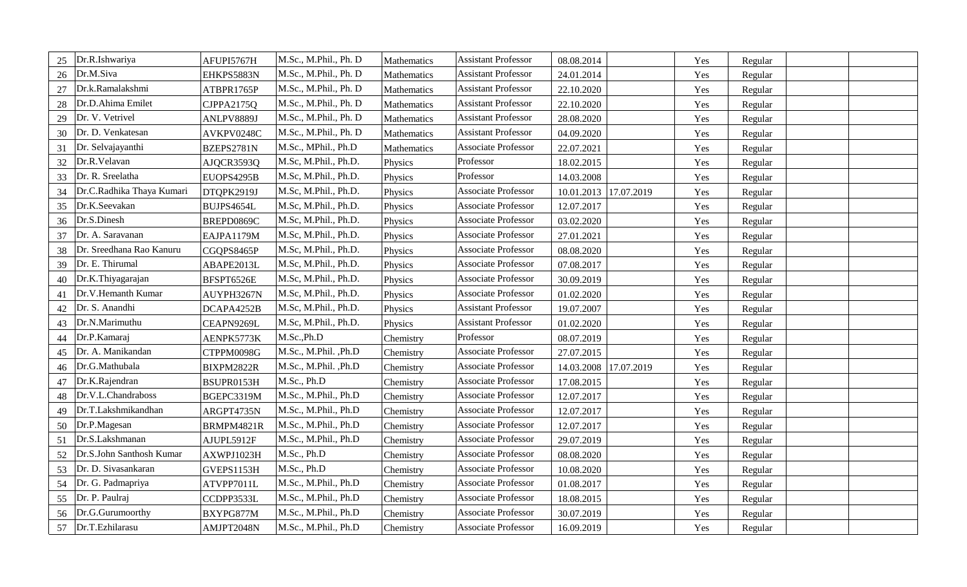| Dr.R.Ishwariya<br>25            | AFUPI5767H | M.Sc., M.Phil., Ph. D | Mathematics | <b>Assistant Professor</b> | 08.08.2014            | Yes | Regular |  |
|---------------------------------|------------|-----------------------|-------------|----------------------------|-----------------------|-----|---------|--|
| Dr.M.Siva<br>26                 | EHKPS5883N | M.Sc., M.Phil., Ph. D | Mathematics | <b>Assistant Professor</b> | 24.01.2014            | Yes | Regular |  |
| Dr.k.Ramalakshmi<br>27          | ATBPR1765P | M.Sc., M.Phil., Ph. D | Mathematics | <b>Assistant Professor</b> | 22.10.2020            | Yes | Regular |  |
| Dr.D.Ahima Emilet<br>28         | CJPPA2175Q | M.Sc., M.Phil., Ph. D | Mathematics | <b>Assistant Professor</b> | 22.10.2020            | Yes | Regular |  |
| Dr. V. Vetrivel<br>29           | ANLPV8889J | M.Sc., M.Phil., Ph. D | Mathematics | <b>Assistant Professor</b> | 28.08.2020            | Yes | Regular |  |
| Dr. D. Venkatesan<br>30         | AVKPV0248C | M.Sc., M.Phil., Ph. D | Mathematics | <b>Assistant Professor</b> | 04.09.2020            | Yes | Regular |  |
| Dr. Selvajayanthi<br>31         | BZEPS2781N | M.Sc., MPhil., Ph.D   | Mathematics | Associate Professor        | 22.07.2021            | Yes | Regular |  |
| Dr.R.Velavan<br>32              | AJQCR3593Q | M.Sc, M.Phil., Ph.D.  | Physics     | Professor                  | 18.02.2015            | Yes | Regular |  |
| Dr. R. Sreelatha<br>33          | EUOPS4295B | M.Sc, M.Phil., Ph.D.  | Physics     | Professor                  | 14.03.2008            | Yes | Regular |  |
| Dr.C.Radhika Thaya Kumari<br>34 | DTQPK2919J | M.Sc, M.Phil., Ph.D.  | Physics     | Associate Professor        | 10.01.2013 17.07.2019 | Yes | Regular |  |
| Dr.K.Seevakan<br>35             | BUJPS4654L | M.Sc, M.Phil., Ph.D.  | Physics     | <b>Associate Professor</b> | 12.07.2017            | Yes | Regular |  |
| Dr.S.Dinesh<br>36               | BREPD0869C | M.Sc, M.Phil., Ph.D.  | Physics     | Associate Professor        | 03.02.2020            | Yes | Regular |  |
| Dr. A. Saravanan<br>37          | EAJPA1179M | M.Sc, M.Phil., Ph.D.  | Physics     | <b>Associate Professor</b> | 27.01.2021            | Yes | Regular |  |
| Dr. Sreedhana Rao Kanuru<br>38  | CGQPS8465P | M.Sc, M.Phil., Ph.D.  | Physics     | Associate Professor        | 08.08.2020            | Yes | Regular |  |
| Dr. E. Thirumal<br>39           | ABAPE2013L | M.Sc, M.Phil., Ph.D.  | Physics     | <b>Associate Professor</b> | 07.08.2017            | Yes | Regular |  |
| Dr.K.Thiyagarajan<br>40         | BFSPT6526E | M.Sc, M.Phil., Ph.D.  | Physics     | Associate Professor        | 30.09.2019            | Yes | Regular |  |
| Dr.V.Hemanth Kumar<br>41        | AUYPH3267N | M.Sc, M.Phil., Ph.D.  | Physics     | Associate Professor        | 01.02.2020            | Yes | Regular |  |
| Dr. S. Anandhi<br>42            | DCAPA4252B | M.Sc, M.Phil., Ph.D.  | Physics     | <b>Assistant Professor</b> | 19.07.2007            | Yes | Regular |  |
| Dr.N.Marimuthu<br>43            | CEAPN9269L | M.Sc, M.Phil., Ph.D.  | Physics     | <b>Assistant Professor</b> | 01.02.2020            | Yes | Regular |  |
| Dr.P.Kamaraj<br>44              | AENPK5773K | M.Sc.,Ph.D            | Chemistry   | Professor                  | 08.07.2019            | Yes | Regular |  |
| Dr. A. Manikandan<br>45         | CTPPM0098G | M.Sc., M.Phil., Ph.D  | Chemistry   | Associate Professor        | 27.07.2015            | Yes | Regular |  |
| Dr.G.Mathubala<br>46            | BIXPM2822R | M.Sc., M.Phil., Ph.D  | Chemistry   | <b>Associate Professor</b> | 14.03.2008 17.07.2019 | Yes | Regular |  |
| Dr.K.Rajendran<br>47            | BSUPR0153H | M.Sc., Ph.D           | Chemistry   | Associate Professor        | 17.08.2015            | Yes | Regular |  |
| Dr.V.L.Chandraboss<br>48        | BGEPC3319M | M.Sc., M.Phil., Ph.D  | Chemistry   | <b>Associate Professor</b> | 12.07.2017            | Yes | Regular |  |
| Dr.T.Lakshmikandhan<br>49       | ARGPT4735N | M.Sc., M.Phil., Ph.D  | Chemistry   | Associate Professor        | 12.07.2017            | Yes | Regular |  |
| Dr.P.Magesan<br>50              | BRMPM4821R | M.Sc., M.Phil., Ph.D  | Chemistry   | Associate Professor        | 12.07.2017            | Yes | Regular |  |
| Dr.S.Lakshmanan<br>51           | AJUPL5912F | M.Sc., M.Phil., Ph.D  | Chemistry   | Associate Professor        | 29.07.2019            | Yes | Regular |  |
| Dr.S.John Santhosh Kumar<br>52  | AXWPJ1023H | M.Sc., Ph.D           | Chemistry   | Associate Professor        | 08.08.2020            | Yes | Regular |  |
| Dr. D. Sivasankaran<br>53       | GVEPS1153H | M.Sc., Ph.D           | Chemistry   | <b>Associate Professor</b> | 10.08.2020            | Yes | Regular |  |
| Dr. G. Padmapriya<br>54         | ATVPP7011L | M.Sc., M.Phil., Ph.D  | Chemistry   | Associate Professor        | 01.08.2017            | Yes | Regular |  |
| Dr. P. Paulraj<br>55            | CCDPP3533L | M.Sc., M.Phil., Ph.D  | Chemistry   | <b>Associate Professor</b> | 18.08.2015            | Yes | Regular |  |
| Dr.G.Gurumoorthy<br>56          | BXYPG877M  | M.Sc., M.Phil., Ph.D  | Chemistry   | Associate Professor        | 30.07.2019            | Yes | Regular |  |
| Dr.T.Ezhilarasu<br>57           | AMJPT2048N | M.Sc., M.Phil., Ph.D  | Chemistry   | Associate Professor        | 16.09.2019            | Yes | Regular |  |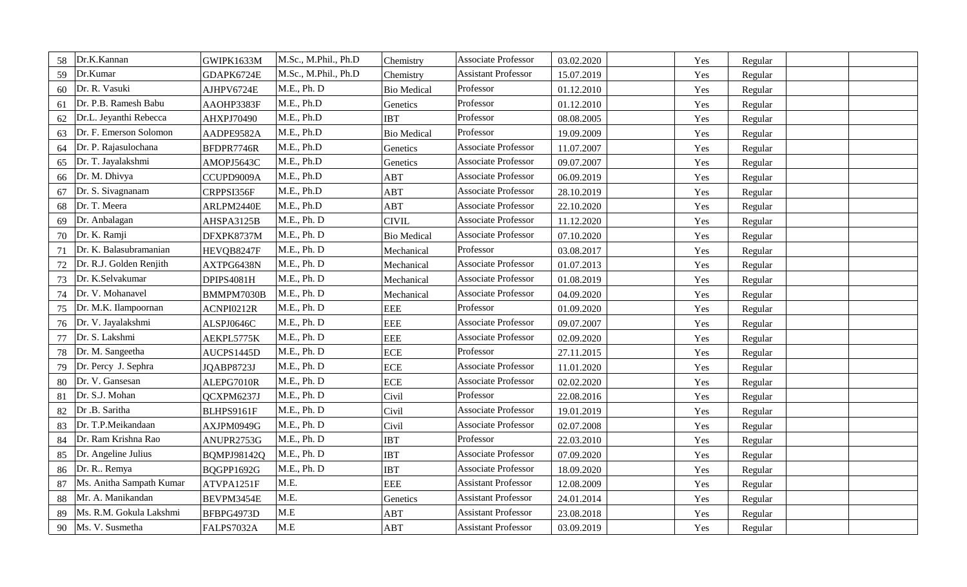| 58 | Dr.K.Kannan              | GWIPK1633M         | M.Sc., M.Phil., Ph.D | Chemistry          | <b>Associate Professor</b> | 03.02.2020 | Yes | Regular |  |
|----|--------------------------|--------------------|----------------------|--------------------|----------------------------|------------|-----|---------|--|
| 59 | Dr.Kumar                 | GDAPK6724E         | M.Sc., M.Phil., Ph.D | Chemistry          | <b>Assistant Professor</b> | 15.07.2019 | Yes | Regular |  |
| 60 | Dr. R. Vasuki            | AJHPV6724E         | M.E., Ph. D          | <b>Bio Medical</b> | Professor                  | 01.12.2010 | Yes | Regular |  |
| 61 | Dr. P.B. Ramesh Babu     | AAOHP3383F         | M.E., Ph.D           | Genetics           | Professor                  | 01.12.2010 | Yes | Regular |  |
| 62 | Dr.L. Jeyanthi Rebecca   | AHXPJ70490         | M.E., Ph.D           | <b>IBT</b>         | Professor                  | 08.08.2005 | Yes | Regular |  |
| 63 | Dr. F. Emerson Solomon   | AADPE9582A         | M.E., Ph.D           | <b>Bio Medical</b> | Professor                  | 19.09.2009 | Yes | Regular |  |
| 64 | Dr. P. Rajasulochana     | BFDPR7746R         | M.E., Ph.D           | Genetics           | <b>Associate Professor</b> | 11.07.2007 | Yes | Regular |  |
| 65 | Dr. T. Jayalakshmi       | AMOPJ5643C         | M.E., Ph.D           | Genetics           | <b>Associate Professor</b> | 09.07.2007 | Yes | Regular |  |
| 66 | Dr. M. Dhivya            | CCUPD9009A         | M.E., Ph.D           | ABT                | <b>Associate Professor</b> | 06.09.2019 | Yes | Regular |  |
| 67 | Dr. S. Sivagnanam        | CRPPSI356F         | M.E., Ph.D           | <b>ABT</b>         | <b>Associate Professor</b> | 28.10.2019 | Yes | Regular |  |
| 68 | Dr. T. Meera             | ARLPM2440E         | M.E., Ph.D           | ABT                | Associate Professor        | 22.10.2020 | Yes | Regular |  |
| 69 | Dr. Anbalagan            | AHSPA3125B         | M.E., Ph. D          | <b>CIVIL</b>       | <b>Associate Professor</b> | 11.12.2020 | Yes | Regular |  |
| 70 | Dr. K. Ramji             | DFXPK8737M         | M.E., Ph. D          | <b>Bio Medical</b> | <b>Associate Professor</b> | 07.10.2020 | Yes | Regular |  |
| 71 | Dr. K. Balasubramanian   | HEVQB8247F         | M.E., Ph. D          | Mechanical         | Professor                  | 03.08.2017 | Yes | Regular |  |
| 72 | Dr. R.J. Golden Renjith  | AXTPG6438N         | M.E., Ph. D          | Mechanical         | <b>Associate Professor</b> | 01.07.2013 | Yes | Regular |  |
| 73 | Dr. K.Selvakumar         | DPIPS4081H         | M.E., Ph. D          | Mechanical         | <b>Associate Professor</b> | 01.08.2019 | Yes | Regular |  |
| 74 | Dr. V. Mohanavel         | BMMPM7030B         | M.E., Ph. D          | Mechanical         | Associate Professor        | 04.09.2020 | Yes | Regular |  |
| 75 | Dr. M.K. Ilampoornan     | ACNPI0212R         | M.E., Ph. D          | <b>EEE</b>         | Professor                  | 01.09.2020 | Yes | Regular |  |
| 76 | Dr. V. Jayalakshmi       | ALSPJ0646C         | M.E., Ph. D          | <b>EEE</b>         | <b>Associate Professor</b> | 09.07.2007 | Yes | Regular |  |
| 77 | Dr. S. Lakshmi           | AEKPL5775K         | M.E., Ph. D          | <b>EEE</b>         | <b>Associate Professor</b> | 02.09.2020 | Yes | Regular |  |
| 78 | Dr. M. Sangeetha         | AUCPS1445D         | M.E., Ph. D          | <b>ECE</b>         | Professor                  | 27.11.2015 | Yes | Regular |  |
| 79 | Dr. Percy J. Sephra      | JQABP8723J         | M.E., Ph. D          | <b>ECE</b>         | <b>Associate Professor</b> | 11.01.2020 | Yes | Regular |  |
| 80 | Dr. V. Gansesan          | ALEPG7010R         | M.E., Ph. D          | <b>ECE</b>         | <b>Associate Professor</b> | 02.02.2020 | Yes | Regular |  |
| 81 | Dr. S.J. Mohan           | QCXPM6237J         | M.E., Ph. D          | Civil              | Professor                  | 22.08.2016 | Yes | Regular |  |
| 82 | Dr .B. Saritha           | BLHPS9161F         | M.E., Ph. D          | Civil              | <b>Associate Professor</b> | 19.01.2019 | Yes | Regular |  |
| 83 | Dr. T.P.Meikandaan       | AXJPM0949G         | M.E., Ph. D          | Civil              | <b>Associate Professor</b> | 02.07.2008 | Yes | Regular |  |
| 84 | Dr. Ram Krishna Rao      | ANUPR2753G         | M.E., Ph. D          | <b>IBT</b>         | Professor                  | 22.03.2010 | Yes | Regular |  |
| 85 | Dr. Angeline Julius      | <b>BQMPJ98142Q</b> | M.E., Ph. D          | <b>IBT</b>         | <b>Associate Professor</b> | 07.09.2020 | Yes | Regular |  |
| 86 | Dr. R Remya              | BQGPP1692G         | M.E., Ph. D          | <b>IBT</b>         | <b>Associate Professor</b> | 18.09.2020 | Yes | Regular |  |
| 87 | Ms. Anitha Sampath Kumar | ATVPA1251F         | M.E.                 | <b>EEE</b>         | <b>Assistant Professor</b> | 12.08.2009 | Yes | Regular |  |
| 88 | Mr. A. Manikandan        | BEVPM3454E         | M.E.                 | Genetics           | <b>Assistant Professor</b> | 24.01.2014 | Yes | Regular |  |
| 89 | Ms. R.M. Gokula Lakshmi  | BFBPG4973D         | $M.E$                | <b>ABT</b>         | <b>Assistant Professor</b> | 23.08.2018 | Yes | Regular |  |
| 90 | Ms. V. Susmetha          | FALPS7032A         | M.E                  | <b>ABT</b>         | <b>Assistant Professor</b> | 03.09.2019 | Yes | Regular |  |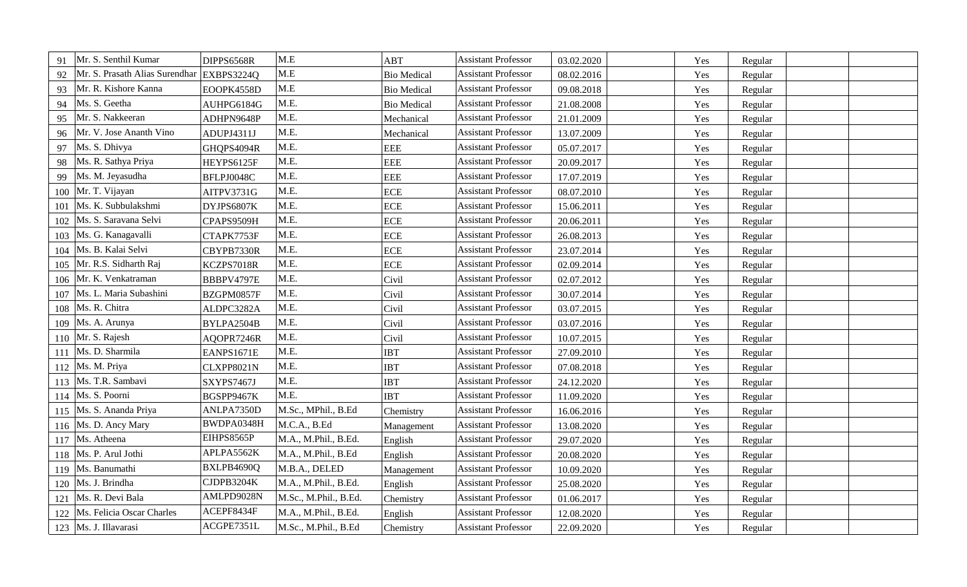| Mr. S. Senthil Kumar<br>91           | DIPPS6568R | M.E                   | ABT                | <b>Assistant Professor</b> | 03.02.2020 | Yes | Regular |  |
|--------------------------------------|------------|-----------------------|--------------------|----------------------------|------------|-----|---------|--|
| Mr. S. Prasath Alias Surendhar<br>92 | EXBPS3224Q | M.E                   | <b>Bio Medical</b> | <b>Assistant Professor</b> | 08.02.2016 | Yes | Regular |  |
| Mr. R. Kishore Kanna<br>93           | EOOPK4558D | M.E                   | <b>Bio Medical</b> | <b>Assistant Professor</b> | 09.08.2018 | Yes | Regular |  |
| Ms. S. Geetha<br>94                  | AUHPG6184G | M.E.                  | <b>Bio Medical</b> | <b>Assistant Professor</b> | 21.08.2008 | Yes | Regular |  |
| Mr. S. Nakkeeran<br>95               | ADHPN9648P | M.E.                  | Mechanical         | <b>Assistant Professor</b> | 21.01.2009 | Yes | Regular |  |
| Mr. V. Jose Ananth Vino<br>96        | ADUPJ4311J | M.E.                  | Mechanical         | <b>Assistant Professor</b> | 13.07.2009 | Yes | Regular |  |
| Ms. S. Dhivya<br>97                  | GHQPS4094R | M.E.                  | <b>EEE</b>         | <b>Assistant Professor</b> | 05.07.2017 | Yes | Regular |  |
| Ms. R. Sathya Priya<br>98            | HEYPS6125F | M.E.                  | <b>EEE</b>         | <b>Assistant Professor</b> | 20.09.2017 | Yes | Regular |  |
| Ms. M. Jeyasudha<br>99               | BFLPJ0048C | M.E.                  | <b>EEE</b>         | <b>Assistant Professor</b> | 17.07.2019 | Yes | Regular |  |
| Mr. T. Vijayan<br>100                | AITPV3731G | M.E.                  | <b>ECE</b>         | <b>Assistant Professor</b> | 08.07.2010 | Yes | Regular |  |
| Ms. K. Subbulakshmi<br>101           | DYJPS6807K | M.E.                  | <b>ECE</b>         | <b>Assistant Professor</b> | 15.06.2011 | Yes | Regular |  |
| Ms. S. Saravana Selvi<br>102         | CPAPS9509H | M.E.                  | <b>ECE</b>         | <b>Assistant Professor</b> | 20.06.2011 | Yes | Regular |  |
| Ms. G. Kanagavalli<br>103            | CTAPK7753F | M.E.                  | <b>ECE</b>         | <b>Assistant Professor</b> | 26.08.2013 | Yes | Regular |  |
| Ms. B. Kalai Selvi<br>104            | CBYPB7330R | M.E.                  | <b>ECE</b>         | <b>Assistant Professor</b> | 23.07.2014 | Yes | Regular |  |
| Mr. R.S. Sidharth Raj<br>105         | KCZPS7018R | M.E.                  | <b>ECE</b>         | <b>Assistant Professor</b> | 02.09.2014 | Yes | Regular |  |
| Mr. K. Venkatraman<br>106            | BBBPV4797E | M.E.                  | Civil              | <b>Assistant Professor</b> | 02.07.2012 | Yes | Regular |  |
| Ms. L. Maria Subashini<br>107        | BZGPM0857F | M.E.                  | Civil              | <b>Assistant Professor</b> | 30.07.2014 | Yes | Regular |  |
| Ms. R. Chitra<br>108                 | ALDPC3282A | M.E.                  | Civil              | <b>Assistant Professor</b> | 03.07.2015 | Yes | Regular |  |
| Ms. A. Arunya<br>109                 | BYLPA2504B | M.E.                  | Civil              | <b>Assistant Professor</b> | 03.07.2016 | Yes | Regular |  |
| Mr. S. Rajesh<br>110                 | AQOPR7246R | M.E.                  | Civil              | <b>Assistant Professor</b> | 10.07.2015 | Yes | Regular |  |
| Ms. D. Sharmila<br>111               | EANPS1671E | M.E.                  | <b>IBT</b>         | <b>Assistant Professor</b> | 27.09.2010 | Yes | Regular |  |
| Ms. M. Priya<br>112                  | CLXPP8021N | M.E.                  | <b>IBT</b>         | <b>Assistant Professor</b> | 07.08.2018 | Yes | Regular |  |
| Ms. T.R. Sambavi<br>113              | SXYPS7467J | M.E.                  | <b>IBT</b>         | <b>Assistant Professor</b> | 24.12.2020 | Yes | Regular |  |
| Ms. S. Poorni<br>114                 | BGSPP9467K | M.E.                  | <b>IBT</b>         | <b>Assistant Professor</b> | 11.09.2020 | Yes | Regular |  |
| Ms. S. Ananda Priya<br>115           | ANLPA7350D | M.Sc., MPhil., B.Ed   | Chemistry          | <b>Assistant Professor</b> | 16.06.2016 | Yes | Regular |  |
| 116   Ms. D. Ancy Mary               | BWDPA0348H | M.C.A., B.Ed          | Management         | <b>Assistant Professor</b> | 13.08.2020 | Yes | Regular |  |
| Ms. Atheena<br>117                   | EIHPS8565P | M.A., M.Phil., B.Ed.  | English            | <b>Assistant Professor</b> | 29.07.2020 | Yes | Regular |  |
| Ms. P. Arul Jothi<br>118             | APLPA5562K | M.A., M.Phil., B.Ed   | English            | <b>Assistant Professor</b> | 20.08.2020 | Yes | Regular |  |
| Ms. Banumathi<br>119                 | BXLPB4690Q | M.B.A., DELED         | Management         | <b>Assistant Professor</b> | 10.09.2020 | Yes | Regular |  |
| 120   Ms. J. Brindha                 | CJDPB3204K | M.A., M.Phil., B.Ed.  | English            | <b>Assistant Professor</b> | 25.08.2020 | Yes | Regular |  |
| Ms. R. Devi Bala<br>121              | AMLPD9028N | M.Sc., M.Phil., B.Ed. | Chemistry          | <b>Assistant Professor</b> | 01.06.2017 | Yes | Regular |  |
| Ms. Felicia Oscar Charles<br>122     | ACEPF8434F | M.A., M.Phil., B.Ed.  | English            | <b>Assistant Professor</b> | 12.08.2020 | Yes | Regular |  |
| 123   Ms. J. Illavarasi              | ACGPE7351L | M.Sc., M.Phil., B.Ed  | Chemistry          | <b>Assistant Professor</b> | 22.09.2020 | Yes | Regular |  |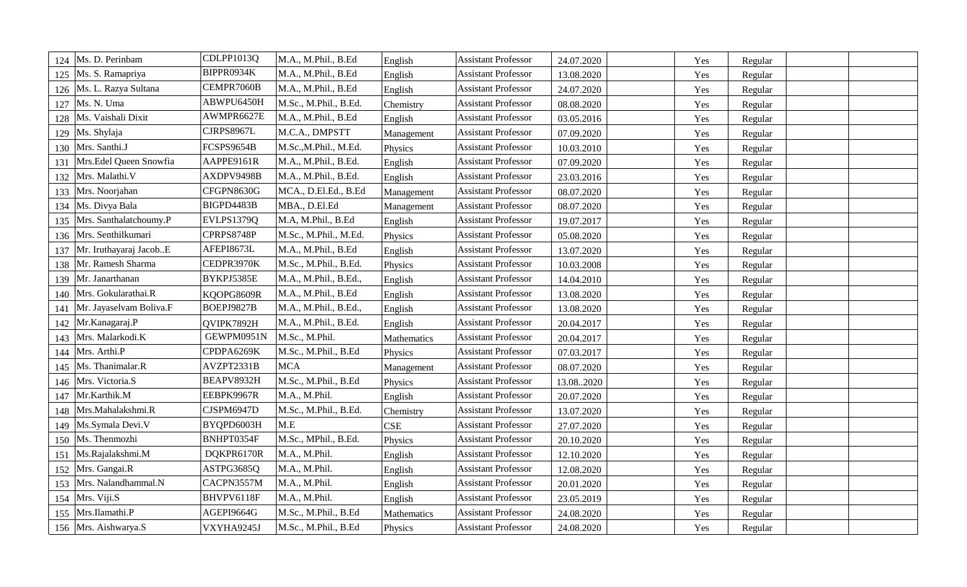| 124 | Ms. D. Perinbam         | CDLPP1013Q | M.A., M.Phil., B.Ed   | English     | <b>Assistant Professor</b> | 24.07.2020 | Yes | Regular |  |
|-----|-------------------------|------------|-----------------------|-------------|----------------------------|------------|-----|---------|--|
| 125 | Ms. S. Ramapriya        | BIPPR0934K | M.A., M.Phil., B.Ed   | English     | <b>Assistant Professor</b> | 13.08.2020 | Yes | Regular |  |
| 126 | Ms. L. Razya Sultana    | CEMPR7060B | M.A., M.Phil., B.Ed   | English     | <b>Assistant Professor</b> | 24.07.2020 | Yes | Regular |  |
| 127 | Ms. N. Uma              | ABWPU6450H | M.Sc., M.Phil., B.Ed. | Chemistry   | <b>Assistant Professor</b> | 08.08.2020 | Yes | Regular |  |
| 128 | Ms. Vaishali Dixit      | AWMPR6627E | M.A., M.Phil., B.Ed   | English     | <b>Assistant Professor</b> | 03.05.2016 | Yes | Regular |  |
| 129 | Ms. Shylaja             | CJRPS8967L | M.C.A., DMPSTT        | Management  | <b>Assistant Professor</b> | 07.09.2020 | Yes | Regular |  |
|     | 130 Mrs. Santhi.J       | FCSPS9654B | M.Sc., M.Phil., M.Ed. | Physics     | <b>Assistant Professor</b> | 10.03.2010 | Yes | Regular |  |
| 131 | Mrs.Edel Queen Snowfia  | AAPPE9161R | M.A., M.Phil., B.Ed.  | English     | <b>Assistant Professor</b> | 07.09.2020 | Yes | Regular |  |
| 132 | Mrs. Malathi.V          | AXDPV9498B | M.A., M.Phil., B.Ed.  | English     | <b>Assistant Professor</b> | 23.03.2016 | Yes | Regular |  |
| 133 | Mrs. Noorjahan          | CFGPN8630G | MCA., D.El.Ed., B.Ed  | Management  | <b>Assistant Professor</b> | 08.07.2020 | Yes | Regular |  |
|     | 134   Ms. Divya Bala    | BIGPD4483B | MBA., D.El.Ed         | Management  | <b>Assistant Professor</b> | 08.07.2020 | Yes | Regular |  |
| 135 | Mrs. Santhalatchoumy.P  | EVLPS1379Q | M.A, M.Phil., B.Ed    | English     | <b>Assistant Professor</b> | 19.07.2017 | Yes | Regular |  |
| 136 | Mrs. Senthilkumari      | CPRPS8748P | M.Sc., M.Phil., M.Ed. | Physics     | <b>Assistant Professor</b> | 05.08.2020 | Yes | Regular |  |
| 137 | Mr. Iruthayaraj JacobE  | AFEPI8673L | M.A., M.Phil., B.Ed   | English     | <b>Assistant Professor</b> | 13.07.2020 | Yes | Regular |  |
| 138 | Mr. Ramesh Sharma       | CEDPR3970K | M.Sc., M.Phil., B.Ed. | Physics     | <b>Assistant Professor</b> | 10.03.2008 | Yes | Regular |  |
| 139 | Mr. Janarthanan         | BYKPJ5385E | M.A., M.Phil., B.Ed., | English     | <b>Assistant Professor</b> | 14.04.2010 | Yes | Regular |  |
| 140 | Mrs. Gokularathai.R     | KQOPG8609R | M.A., M.Phil., B.Ed   | English     | <b>Assistant Professor</b> | 13.08.2020 | Yes | Regular |  |
| 141 | Mr. Jayaselvam Boliva.F | BOEPJ9827B | M.A., M.Phil., B.Ed., | English     | <b>Assistant Professor</b> | 13.08.2020 | Yes | Regular |  |
| 142 | Mr.Kanagaraj.P          | QVIPK7892H | M.A., M.Phil., B.Ed.  | English     | <b>Assistant Professor</b> | 20.04.2017 | Yes | Regular |  |
| 143 | Mrs. Malarkodi.K        | GEWPM0951N | M.Sc., M.Phil.        | Mathematics | <b>Assistant Professor</b> | 20.04.2017 | Yes | Regular |  |
| 144 | Mrs. Arthi.P            | CPDPA6269K | M.Sc., M.Phil., B.Ed  | Physics     | <b>Assistant Professor</b> | 07.03.2017 | Yes | Regular |  |
| 145 | Ms. Thanimalar.R        | AVZPT2331B | <b>MCA</b>            | Management  | <b>Assistant Professor</b> | 08.07.2020 | Yes | Regular |  |
| 146 | Mrs. Victoria.S         | BEAPV8932H | M.Sc., M.Phil., B.Ed  | Physics     | <b>Assistant Professor</b> | 13.082020  | Yes | Regular |  |
| 147 | Mr.Karthik.M            | EEBPK9967R | M.A., M.Phil.         | English     | <b>Assistant Professor</b> | 20.07.2020 | Yes | Regular |  |
| 148 | Mrs.Mahalakshmi.R       | CJSPM6947D | M.Sc., M.Phil., B.Ed. | Chemistry   | <b>Assistant Professor</b> | 13.07.2020 | Yes | Regular |  |
| 149 | Ms.Symala Devi.V        | BYQPD6003H | M.E                   | <b>CSE</b>  | <b>Assistant Professor</b> | 27.07.2020 | Yes | Regular |  |
| 150 | Ms. Thenmozhi           | BNHPT0354F | M.Sc., MPhil., B.Ed.  | Physics     | <b>Assistant Professor</b> | 20.10.2020 | Yes | Regular |  |
| 151 | Ms.Rajalakshmi.M        | DQKPR6170R | M.A., M.Phil.         | English     | <b>Assistant Professor</b> | 12.10.2020 | Yes | Regular |  |
| 152 | Mrs. Gangai.R           | ASTPG3685Q | M.A., M.Phil.         | English     | <b>Assistant Professor</b> | 12.08.2020 | Yes | Regular |  |
|     | 153 Mrs. Nalandhammal.N | CACPN3557M | M.A., M.Phil.         | English     | <b>Assistant Professor</b> | 20.01.2020 | Yes | Regular |  |
| 154 | Mrs. Viji.S             | BHVPV6118F | M.A., M.Phil.         | English     | <b>Assistant Professor</b> | 23.05.2019 | Yes | Regular |  |
|     | 155 Mrs.Ilamathi.P      | AGEPI9664G | M.Sc., M.Phil., B.Ed  | Mathematics | <b>Assistant Professor</b> | 24.08.2020 | Yes | Regular |  |
|     | 156 Mrs. Aishwarya.S    | VXYHA9245J | M.Sc., M.Phil., B.Ed  | Physics     | <b>Assistant Professor</b> | 24.08.2020 | Yes | Regular |  |